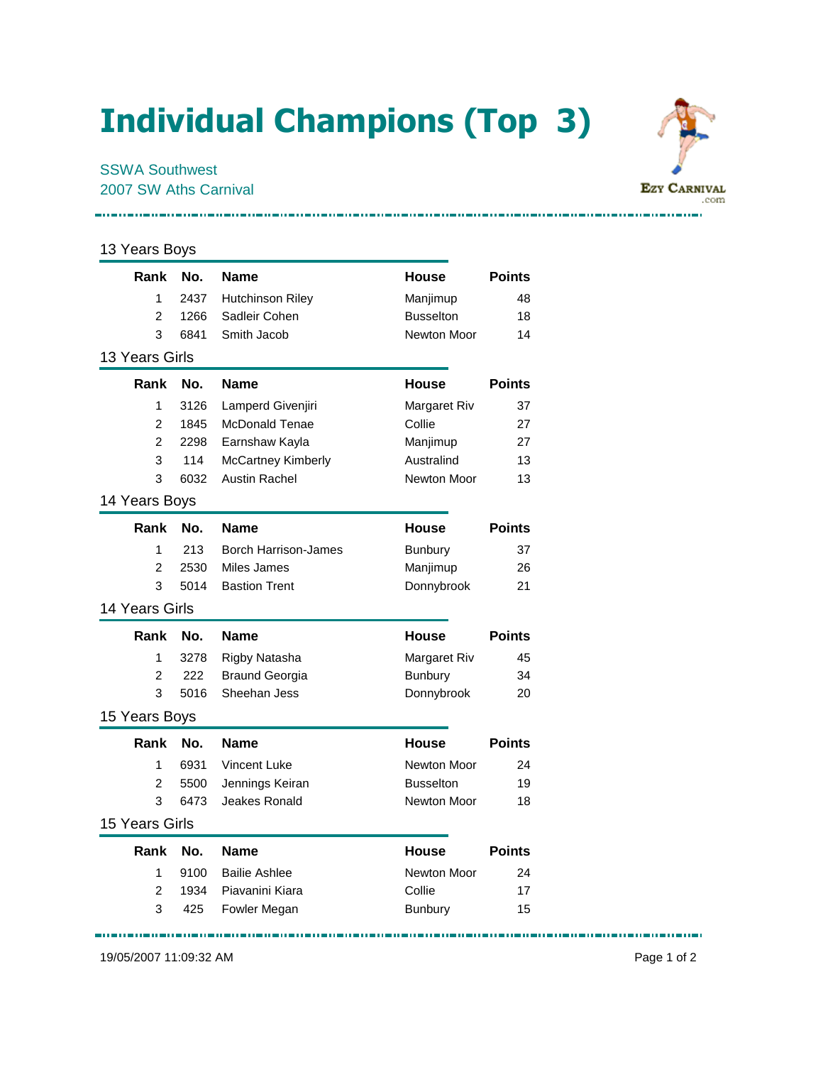## Individual Champions (Top 3)

## 13 Years Boys

| Rank                  | No.  | <b>Name</b>                 | <b>House</b>     | <b>Points</b> |
|-----------------------|------|-----------------------------|------------------|---------------|
| 1                     | 2437 | <b>Hutchinson Riley</b>     | Manjimup         | 48            |
| $\overline{2}$        | 1266 | Sadleir Cohen               | <b>Busselton</b> | 18            |
| 3                     | 6841 | Smith Jacob                 | Newton Moor      | 14            |
| 13 Years Girls        |      |                             |                  |               |
| Rank                  | No.  | Name                        | <b>House</b>     | <b>Points</b> |
| 1                     | 3126 | Lamperd Givenjiri           | Margaret Riv     | 37            |
| 2                     | 1845 | <b>McDonald Tenae</b>       | Collie           | 27            |
| $\overline{2}$        | 2298 | Earnshaw Kayla              | Manjimup         | 27            |
| 3                     | 114  | McCartney Kimberly          | Australind       | 13            |
| 3                     | 6032 | <b>Austin Rachel</b>        | Newton Moor      | 13            |
| 14 Years Boys         |      |                             |                  |               |
| Rank                  | No.  | Name                        | <b>House</b>     | <b>Points</b> |
| 1                     | 213  | <b>Borch Harrison-James</b> | <b>Bunbury</b>   | 37            |
| $\overline{2}$        | 2530 | Miles James                 | Manjimup         | 26            |
| 3                     | 5014 | <b>Bastion Trent</b>        | Donnybrook       | 21            |
| <b>14 Years Girls</b> |      |                             |                  |               |
| Rank                  | No.  | <b>Name</b>                 | <b>House</b>     | <b>Points</b> |
| 1                     | 3278 | Rigby Natasha               | Margaret Riv     | 45            |
| $\overline{c}$        | 222  | <b>Braund Georgia</b>       | <b>Bunbury</b>   | 34            |
| 3                     | 5016 | Sheehan Jess                | Donnybrook       | 20            |
| 15 Years Boys         |      |                             |                  |               |
| Rank                  | No.  | <b>Name</b>                 | <b>House</b>     | <b>Points</b> |
| 1                     | 6931 | Vincent Luke                | Newton Moor      | 24            |
| $\overline{2}$        | 5500 | Jennings Keiran             | <b>Busselton</b> | 19            |
| 3                     | 6473 | Jeakes Ronald               | Newton Moor      | 18            |
| <b>15 Years Girls</b> |      |                             |                  |               |
| Rank                  | No.  | <b>Name</b>                 | <b>House</b>     | <b>Points</b> |
| 1                     | 9100 | <b>Bailie Ashlee</b>        | Newton Moor      | 24            |
| 2                     | 1934 | Piavanini Kiara             | Collie           | 17            |
| 3                     | 425  | Fowler Megan                | <b>Bunbury</b>   | 15            |

19/05/2007 11:09:32 AM Page 1 of 2